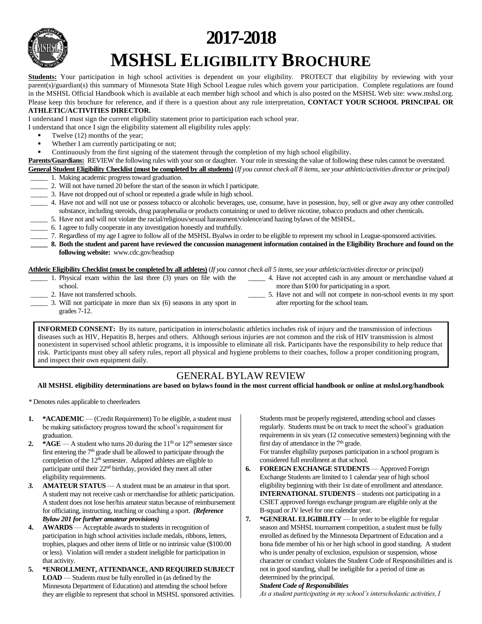

# **2017-2018 MSHSL ELIGIBILITY BROCHURE**

**Students:** Your participation in high school activities is dependent on your eligibility. PROTECT that eligibility by reviewing with your parent(s)/guardian(s) this summary of Minnesota State High School League rules which govern your participation. Complete regulations are found in the MSHSL Official Handbook which is available at each member high school and which is also posted on the MSHSL Web site: www.mshsl.org. Please keep this brochure for reference, and if there is a question about any rule interpretation, **CONTACT YOUR SCHOOL PRINCIPAL OR** 

#### **ATHLETIC/ACTIVITIES DIRECTOR.**

I understand I must sign the current eligibility statement prior to participation each school year.

I understand that once I sign the eligibility statement all eligibility rules apply:

- Twelve (12) months of the year;
- Whether I am currently participating or not;
- Continuously from the first signing of the statement through the completion of my high school eligibility.

**Parents/Guardians:** REVIEW the following rules with your son or daughter. Your role in stressing the value of following these rules cannot be overstated. **General Student Eligibility Checklist (must be completed by all students)** (*If you cannot check all 8 items, see your athletic/activities director or principal)*

- \_\_\_\_\_ 1. Making academic progress toward graduation.
- \_\_\_\_\_ 2. Will not have turned 20 before the start of the season in which I participate.
- \_\_\_\_\_ 3. Have not dropped out of school or repeated a grade while in high school.

\_\_\_\_\_ 4. Have not and will not use or possess tobacco or alcoholic beverages, use, consume, have in posession, buy, sell or give away any other controlled substance, including steroids, drug paraphenalia or products containing or used to deliver nicotine, tobacco products and other chemicals.

- \_\_\_\_\_ 5. Have not and will not violate the racial/religious/sexual harassment/violence/and hazing bylaws of the MSHSL.
- \_\_\_\_\_ 6. I agree to fully cooperate in any investigation honestly and truthfully.
- \_\_\_\_\_ 7. Regardless of my age I agree to follow all of the MSHSL Byalws in order to be eligible to represent my school in League-sponsored activities.

**\_\_\_\_\_ 8. Both the student and parent have reviewed the concussion management information contained in the Eligibility Brochure and found on the following website:** www.cdc.gov/headsup

**Athletic Eligibility Checklist (must be completed by all athletes)** (*If you cannot check all 5 items, see your athletic/activities director or principal)*

- \_\_\_\_\_ 1. Physical exam within the last three (3) years on file with the school. \_\_\_\_\_ 4. Have not accepted cash in any amount or merchandise valued at more than \$100 for participating in a sport.
	- \_\_\_\_\_ 2. Have not transferred schools.
- \_\_\_\_\_ 3. Will not participate in more than six (6) seasons in any sport in grades 7-12.
- **INFORMED CONSENT:** By its nature, participation in interscholastic athletics includes risk of injury and the transmission of infectious diseases such as HIV, Hepatitis B, herpes and others. Although serious injuries are not common and the risk of HIV transmission is almost nonexistent in supervised school athletic programs, it is impossible to eliminate all risk. Participants have the responsibility to help reduce that risk. Participants must obey all safety rules, report all physical and hygiene problems to their coaches, follow a proper conditioning program,

# and inspect their own equipment daily.

# GENERAL BYLAW REVIEW

**All MSHSL eligibility determinations are based on bylaws found in the most current official handbook or online at mshsl.org/handbook**

*\** Denotes rules applicable to cheerleaders

- **1. \*ACADEMIC** (Credit Requirement) To be eligible, a student must be making satisfactory progress toward the school's requirement for graduation.
- **2.**  $*AGE$  A student who turns 20 during the  $11<sup>th</sup>$  or  $12<sup>th</sup>$  semester since first entering the  $7<sup>th</sup>$  grade shall be allowed to participate through the completion of the  $12<sup>th</sup>$  semester. Adapted athletes are eligible to participate until their 22nd birthday, provided they meet all other eligibility requirements.
- *3.* **AMATEUR STATUS** A student must be an amateur in that sport. A student may not receive cash or merchandise for athletic participation. A student does not lose her/his amateur status because of reimbursement for officiating, instructing, teaching or coaching a sport. *(Reference Bylaw 201 for further amateur provisions)*
- **4. AWARDS** Acceptable awards to students in recognition of participation in high school activities include medals, ribbons, letters, trophies, plaques and other items of little or no intrinsic value (\$100.00 or less). Violation will render a student ineligible for participation in that activity.
- **5. \*ENROLLMENT, ATTENDANCE, AND REQUIRED SUBJECT LOAD** — Students must be fully enrolled in (as defined by the Minnesota Department of Education) and attending the school before they are eligible to represent that school in MSHSL sponsored activities.

Students must be properly registered, attending school and classes regularly. Students must be on track to meet the school's graduation requirements in six years (12 consecutive semesters) beginning with the first day of attendance in the 7<sup>th</sup> grade.

\_\_\_\_\_ 5. Have not and will not compete in non-school events in my sport

after reporting for the school team.

For transfer eligibility purposes participation in a school program is considered full enrollment at that school.

- **6. FOREIGN EXCHANGE STUDENTS** Approved Foreign Exchange Students are limited to 1 calendar year of high school eligibility beginning with their 1st date of enrollment and attendance. **INTERNATIONAL STUDENTS** – students not participating in a CSIET approved foreign exchange program are eligible only at the B-squad or JV level for one calendar year.
- **7. \*GENERAL ELIGIBILITY** In order to be eligible for regular season and MSHSL tournament competition, a student must be fully enrolled as defined by the Minnesota Department of Education and a bona fide member of his or her high school in good standing. A student who is under penalty of exclusion, expulsion or suspension, whose character or conduct violates the Student Code of Responsibilities and is not in good standing, shall be ineligible for a period of time as determined by the principal.

#### *Student Code of Responsibilities*

*As a student participating in my school's interscholastic activities, I*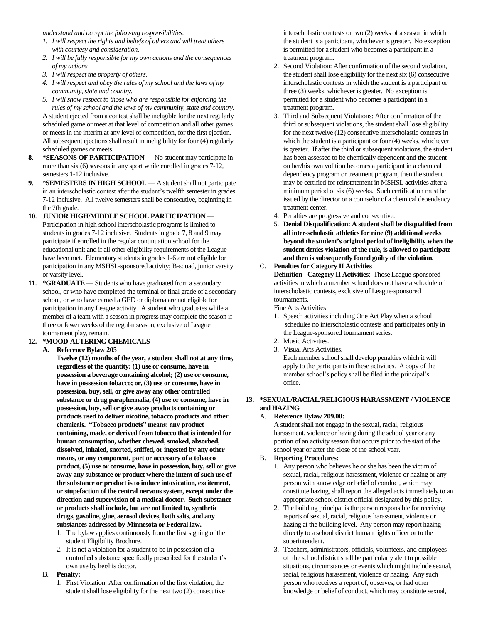*understand and accept the following responsibilities:*

- *1. I will respect the rights and beliefs of others and will treat others with courtesy and consideration.*
- *2. I will be fully responsible for my own actions and the consequences of my actions*
- *3. I will respect the property of others.*
- *4. I will respect and obey the rules of my school and the laws of my community, state and country.*
- *5. I will show respect to those who are responsible for enforcing the rules of my school and the laws of my community, state and country.*

A student ejected from a contest shall be ineligible for the next regularly scheduled game or meet at that level of competition and all other games or meets in the interim at any level of competition, for the first ejection. All subsequent ejections shall result in ineligibility for four (4) regularly scheduled games or meets.

- **8**. **\*SEASONS OF PARTICIPATION** No student may participate in more than six (6) seasons in any sport while enrolled in grades 7-12, semesters 1-12 inclusive.
- **9**. \***SEMESTERS IN HIGH SCHOOL** A student shall not participate in an interscholastic contest after the student's twelfth semester in grades 7-12 inclusive. All twelve semesters shall be consecutive, beginning in the 7th grade.
- **10. JUNIOR HIGH/MIDDLE SCHOOL PARTICIPATION** Participation in high school interscholastic programs is limited to students in grades 7-12 inclusive. Students in grade 7, 8 and 9 may participate if enrolled in the regular continuation school for the educational unit and if all other eligibility requirements of the League have been met. Elementary students in grades 1-6 are not eligible for participation in any MSHSL-sponsored activity; B-squad, junior varsity or varsity level.
- **11. \*GRADUATE** Students who have graduated from a secondary school, or who have completed the terminal or final grade of a secondary school, or who have earned a GED or diploma are not eligible for participation in any League activity A student who graduates while a member of a team with a season in progress may complete the season if three or fewer weeks of the regular season, exclusive of League tournament play, remain.

# **12. \*MOOD-ALTERING CHEMICALS**

**A. Reference Bylaw 205**

**Twelve (12) months of the year, a student shall not at any time, regardless of the quantity: (1) use or consume, have in possession a beverage containing alcohol; (2) use or consume, have in possession tobacco; or, (3) use or consume, have in possession, buy, sell, or give away any other controlled substance or drug paraphernalia, (4) use or consume, have in possession, buy, sell or give away products containing or products used to deliver nicotine, tobacco products and other chemicals. "Tobacco products" means: any product containing, made, or derived from tobacco that is intended for human consumption, whether chewed, smoked, absorbed, dissolved, inhaled, snorted, sniffed, or ingested by any other means, or any component, part or accessory of a tobacco product, (5) use or consume, have in possession, buy, sell or give away any substance or product where the intent of such use of the substance or product is to induce intoxication, excitement, or stupefaction of the central nervous system, except under the direction and supervision of a medical doctor. Such substance or products shall include, but are not limited to, synthetic drugs, gasoline, glue, aerosol devices, bath salts, and any substances addressed by Minnesota or Federal law.**

- 1. The bylaw applies continuously from the first signing of the student Eligibility Brochure.
- 2. It is not a violation for a student to be in possession of a controlled substance specifically prescribed for the student's own use by her/his doctor.
- B. **Penalty:**
	- 1. First Violation: After confirmation of the first violation, the student shall lose eligibility for the next two (2) consecutive

interscholastic contests or two (2) weeks of a season in which the student is a participant, whichever is greater. No exception is permitted for a student who becomes a participant in a treatment program.

- 2. Second Violation: After confirmation of the second violation, the student shall lose eligibility for the next six (6) consecutive interscholastic contests in which the student is a participant or three (3) weeks, whichever is greater. No exception is permitted for a student who becomes a participant in a treatment program.
- 3. Third and Subsequent Violations: After confirmation of the third or subsequent violations, the student shall lose eligibility for the next twelve (12) consecutive interscholastic contests in which the student is a participant or four (4) weeks, whichever is greater. If after the third or subsequent violations, the student has been assessed to be chemically dependent and the student on her/his own volition becomes a participant in a chemical dependency program or treatment program, then the student may be certified for reinstatement in MSHSL activities after a minimum period of six (6) weeks. Such certification must be issued by the director or a counselor of a chemical dependency treatment center.
- 4. Penalties are progressive and consecutive.
- 5. **Denial Disqualification: A student shall be disqualified from all inter-scholastic athletics for nine (9) additional weeks beyond the student's original period of ineligibility when the student denies violation of the rule, is allowed to participate and then is subsequently found guilty of the violation.**

# C. **Penalties for Category II Activities**

**Definition - Category II Activities**: Those League-sponsored activities in which a member school does not have a schedule of interscholastic contests, exclusive of League-sponsored tournaments.

Fine Arts Activities

- 1. Speech activities including One Act Play when a school schedules no interscholastic contests and participates only in the League-sponsored tournament series.
- 2. Music Activities.
- 3. Visual Arts Activities. Each member school shall develop penalties which it will apply to the participants in these activities. A copy of the member school's policy shall be filed in the principal's office.

# **13. \*SEXUAL/RACIAL/RELIGIOUS HARASSMENT / VIOLENCE and HAZING**

# A. **Reference Bylaw 209.00:**

A student shall not engage in the sexual, racial, religious harassment, violence or hazing during the school year or any portion of an activity season that occurs prior to the start of the school year or after the close of the school year.

#### B. **Reporting Procedures:**

- 1. Any person who believes he or she has been the victim of sexual, racial, religious harassment, violence or hazing or any person with knowledge or belief of conduct, which may constitute hazing, shall report the alleged acts immediately to an appropriate school district official designated by this policy.
- 2. The building principal is the person responsible for receiving reports of sexual, racial, religious harassment, violence or hazing at the building level. Any person may report hazing directly to a school district human rights officer or to the superintendent.
- 3. Teachers, administrators, officials, volunteers, and employees of the school district shall be particularly alert to possible situations, circumstances or events which might include sexual, racial, religious harassment, violence or hazing. Any such person who receives a report of, observes, or had other knowledge or belief of conduct, which may constitute sexual,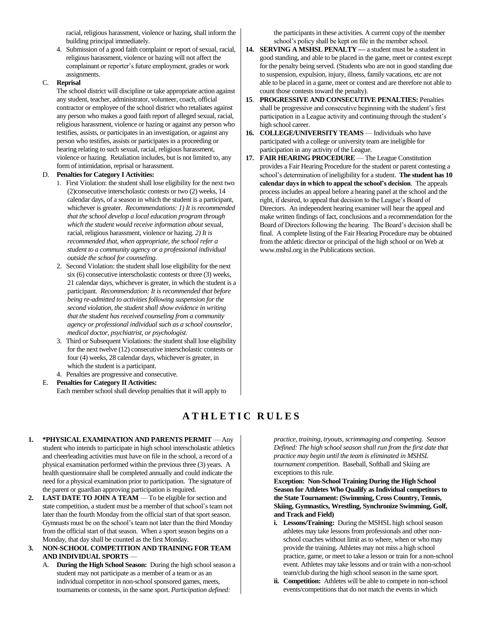racial, religious harassment, violence or hazing, shall inform the building principal immediately.

4. Submission of a good faith complaint or report of sexual, racial, religious harassment, violence or hazing will not affect the complainant or reporter's future employment, grades or work assignments.

#### C. **Reprisal**

The school district will discipline or take appropriate action against any student, teacher, administrator, volunteer, coach, official contractor or employee of the school district who retaliates against any person who makes a good faith report of alleged sexual, racial, religious harassment, violence or hazing or against any person who testifies, assists, or participates in an investigation, or against any person who testifies, assists or participates in a proceeding or hearing relating to such sexual, racial, religious harassment, violence or hazing. Retaliation includes, but is not limited to, any form of intimidation, reprisal or harassment.

#### D. **Penalties for Category I Activities:**

- 1. First Violation: the student shall lose eligibility for the next two (2)consecutive interscholastic contests or two (2) weeks, 14 calendar days, of a season in which the student is a participant, whichever is greater. *Recommendations: 1) It is recommended that the school develop a local education program through which the student would receive information about* sexual, racial, religious harassment, violence or hazing*. 2) It is recommended that, when appropriate, the school refer a student to a community agency or a professional individual outside the school for counseling.*
- 2. Second Violation: the student shall lose eligibility for the next six (6) consecutive interscholastic contests or three (3) weeks, 21 calendar days, whichever is greater, in which the student is a participant. *Recommendation: It is recommended that before being re-admitted to activities following suspension for the second violation, the student shall show evidence in writing that the student has received counseling from a community agency or professional individual such as a school counselor, medical doctor, psychiatrist, or psychologist.*
- 3. Third or Subsequent Violations: the student shall lose eligibility for the next twelve (12) consecutive interscholastic contests or four (4) weeks, 28 calendar days, whichever is greater, in which the student is a participant.
- 4. Penalties are progressive and consecutive.

# E. **Penalties for Category II Activities:** Each member school shall develop penalties that it will apply to

the participants in these activities. A current copy of the member school's policy shall be kept on file in the member school.

- **14. SERVING A MSHSL PENALTY —** a student must be a student in good standing, and able to be placed in the game, meet or contest except for the penalty being served. (Students who are not in good standing due to suspension, expulsion, injury, illness, family vacations, etc are not able to be placed in a game, meet or contest and are therefore not able to count those contests toward the penalty).
- **15**. **PROGRESSIVE AND CONSECUTIVE PENALTIES:** Penalties shall be progressive and consecutive beginning with the student's first participation in a League activity and continuing through the student's high school career.
- **16. COLLEGE/UNIVERSITY TEAMS** Individuals who have participated with a college or university team are ineligible for participation in any activity of the League.
- **17. FAIR HEARING PROCEDURE** The League Constitution provides a Fair Hearing Procedure for the student or parent contesting a school's determination of ineligibility for a student. **The student has 10 calendar days in which to appeal the school's decision**. The appeals process includes an appeal before a hearing panel at the school and the right, if desired, to appeal that decision to the League's Board of Directors. An independent hearing examiner will hear the appeal and make written findings of fact, conclusions and a recommendation for the Board of Directors following the hearing. The Board's decision shall be final. A complete listing of the Fair Hearing Procedure may be obtained from the athletic director or principal of the high school or on Web at www.mshsl.org in the Publications section.

# **A T H L E T I C R U L E S**

- **1. \*PHYSICAL EXAMINATION AND PARENTS PERMIT** Any student who intends to participate in high school interscholastic athletics and cheerleading activities must have on file in the school, a record of a physical examination performed within the previous three (3) years. A health questionnaire shall be completed annually and could indicate the need for a physical examination prior to participation. The signature of the parent or guardian approving participation is required.
- **2. LAST DATE TO JOIN A TEAM** To be eligible for section and state competition, a student must be a member of that school's team not later than the fourth Monday from the official start of that sport season. Gymnasts must be on the school's team not later than the third Monday from the official start of that season. When a sport season begins on a Monday, that day shall be counted as the first Monday.
- **3. NON-SCHOOL COMPETITION AND TRAINING FOR TEAM AND INDIVIDUAL SPORTS** —
	- A. **During the High School Season:** During the high school season a student may not participate as a member of a team or as an individual competitor in non-school sponsored games, meets, tournaments or contests, in the same sport. *Participation defined:*

*practice, training, tryouts, scrimmaging and competing. Season Defined: The high school season shall run from the first date that practice may begin until the team is eliminated in MSHSL tournament competition*. Baseball, Softball and Skiing are exceptions to this rule.

**Exception: Non-School Training During the High School Season for Athletes Who Qualify as Individual competitors to the State Tournament: (Swimming, Cross Country, Tennis, Skiing, Gymnastics, Wrestling, Synchronize Swimming, Golf, and Track and Field)**

- **i. Lessons/Training:** During the MSHSL high school season athletes may take lessons from professionals and other nonschool coaches without limit as to where, when or who may provide the training. Athletes may not miss a high school practice, game, or meet to take a lesson or train for a non-school event. Athletes may take lessons and or train with a non-school team/club during the high school season in the same sport.
- **ii. Competition:** Athletes will be able to compete in non-school events/competitions that do not match the events in which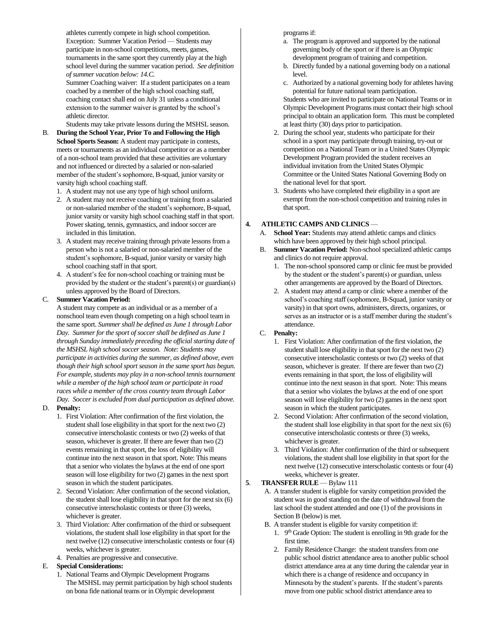athletes currently compete in high school competition. Exception: Summer Vacation Period — Students may participate in non-school competitions, meets, games, tournaments in the same sport they currently play at the high school level during the summer vacation period. *See definition of summer vacation below: 14.C.*

Summer Coaching waiver: If a student participates on a team coached by a member of the high school coaching staff, coaching contact shall end on July 31 unless a conditional extension to the summer waiver is granted by the school's athletic director.

Students may take private lessons during the MSHSL season.

- B. **During the School Year, Prior To and Following the High School Sports Season:** A student may participate in contests, meets or tournaments as an individual competitor or as a member of a non-school team provided that these activities are voluntary and not influenced or directed by a salaried or non-salaried member of the student's sophomore, B-squad, junior varsity or varsity high school coaching staff.
	- 1. A student may not use any type of high school uniform.
	- 2. A student may not receive coaching or training from a salaried or non-salaried member of the student's sophomore, B-squad, junior varsity or varsity high school coaching staff in that sport. Power skating, tennis, gymnastics, and indoor soccer are included in this limitation.
	- 3. A student may receive training through private lessons from a person who is not a salaried or non-salaried member of the student's sophomore, B-squad, junior varsity or varsity high school coaching staff in that sport.
	- 4. A student's fee for non-school coaching or training must be provided by the student or the student's parent(s) or guardian(s) unless approved by the Board of Directors.

#### C. **Summer Vacation Period:**

A student may compete as an individual or as a member of a nonschool team even though competing on a high school team in the same sport. *Summer shall be defined as June 1 through Labor Day. Summer for the sport of soccer shall be defined as June 1 through Sunday immediately preceding the official starting date of the MSHSL high school soccer season. Note: Students may participate in activities during the summer, as defined above, even though their high school sport season in the same sport has begun. For example, students may play in a non-school tennis tournament while a member of the high school team or participate in road races while a member of the cross country team through Labor Day. Soccer is excluded from dual participation as defined above.*

#### D. **Penalty:**

- 1. First Violation: After confirmation of the first violation, the student shall lose eligibility in that sport for the next two (2) consecutive interscholastic contests or two (2) weeks of that season, whichever is greater. If there are fewer than two (2) events remaining in that sport, the loss of eligibility will continue into the next season in that sport. Note: This means that a senior who violates the bylaws at the end of one sport season will lose eligibility for two (2) games in the next sport season in which the student participates.
- 2. Second Violation: After confirmation of the second violation, the student shall lose eligibility in that sport for the next six (6) consecutive interscholastic contests or three (3) weeks, whichever is greater.
- 3. Third Violation: After confirmation of the third or subsequent violations, the student shall lose eligibility in that sport for the next twelve (12) consecutive interscholastic contests or four (4) weeks, whichever is greater.
- 4. Penalties are progressive and consecutive.

#### E. **Special Considerations:**

1. National Teams and Olympic Development Programs The MSHSL may permit participation by high school students on bona fide national teams or in Olympic development

programs if:

- a. The program is approved and supported by the national governing body of the sport or if there is an Olympic development program of training and competition.
- b. Directly funded by a national governing body on a national level.
- c. Authorized by a national governing body for athletes having potential for future national team participation.

Students who are invited to participate on National Teams or in Olympic Development Programs must contact their high school principal to obtain an application form. This must be completed at least thirty (30) days prior to participation.

- 2. During the school year, students who participate for their school in a sport may participate through training, try-out or competition on a National Team or in a United States Olympic Development Program provided the student receives an individual invitation from the United States Olympic Committee or the United States National Governing Body on the national level for that sport.
- 3. Students who have completed their eligibility in a sport are exempt from the non-school competition and training rules in that sport.

#### **4. ATHLETIC CAMPS AND CLINICS** —

- A. **School Year:** Students may attend athletic camps and clinics which have been approved by their high school principal.
- B. **Summer Vacation Period:** Non-school specialized athletic camps and clinics do not require approval.
	- 1. The non-school sponsored camp or clinic fee must be provided by the student or the student's parent(s) or guardian, unless other arrangements are approved by the Board of Directors.
	- 2. A student may attend a camp or clinic where a member of the school's coaching staff (sophomore, B-Squad, junior varsity or varsity) in that sport owns, administers, directs, organizes, or serves as an instructor or is a staff member during the student's attendance.
- C. **Penalty:**
	- 1. First Violation: After confirmation of the first violation, the student shall lose eligibility in that sport for the next two (2) consecutive interscholastic contests or two (2) weeks of that season, whichever is greater. If there are fewer than two (2) events remaining in that sport, the loss of eligibility will continue into the next season in that sport. Note: This means that a senior who violates the bylaws at the end of one sport season will lose eligibility for two (2) games in the next sport season in which the student participates.
	- 2. Second Violation: After confirmation of the second violation, the student shall lose eligibility in that sport for the next six (6) consecutive interscholastic contests or three (3) weeks, whichever is greater.
	- 3. Third Violation: After confirmation of the third or subsequent violations, the student shall lose eligibility in that sport for the next twelve (12) consecutive interscholastic contests or four (4) weeks, whichever is greater.

#### **5**. **TRANSFER RULE** — Bylaw 111

- A. A transfer student is eligible for varsity competition provided the student was in good standing on the date of withdrawal from the last school the student attended and one (1) of the provisions in Section B (below) is met.
- B. A transfer student is eligible for varsity competition if:
	- 1. 9<sup>th</sup> Grade Option: The student is enrolling in 9th grade for the first time.
	- 2. Family Residence Change: the student transfers from one public school district attendance area to another public school district attendance area at any time during the calendar year in which there is a change of residence and occupancy in Minnesota by the student's parents. If the student's parents move from one public school district attendance area to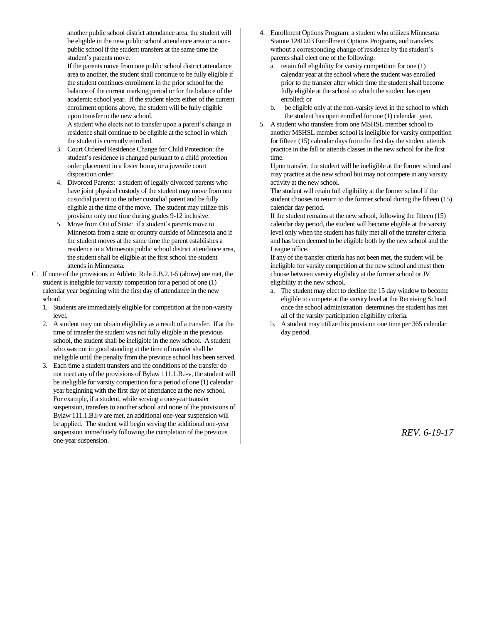another public school district attendance area, the student will be eligible in the new public school attendance area or a nonpublic school if the student transfers at the same time the student's parents move.

If the parents move from one public school district attendance area to another, the student shall continue to be fully eligible if the student continues enrollment in the prior school for the balance of the current marking period or for the balance of the academic school year. If the student elects either of the current enrollment options above, the student will be fully eligible upon transfer to the new school.

A student who elects not to transfer upon a parent's change in residence shall continue to be eligible at the school in which the student is currently enrolled.

- 3. Court Ordered Residence Change for Child Protection: the student's residence is changed pursuant to a child protection order placement in a foster home, or a juvenile court disposition order.
- 4. Divorced Parents: a student of legally divorced parents who have joint physical custody of the student may move from one custodial parent to the other custodial parent and be fully eligible at the time of the move. The student may utilize this provision only one time during grades 9-12 inclusive.
- 5. Move from Out of State: if a student's parents move to Minnesota from a state or country outside of Minnesota and if the student moves at the same time the parent establishes a residence in a Minnesota public school district attendance area, the student shall be eligible at the first school the student attends in Minnesota.
- C. If none of the provisions in Athletic Rule 5.B.2.1-5 (above) are met, the student is ineligible for varsity competition for a period of one (1) calendar year beginning with the first day of attendance in the new school.
	- 1. Students are immediately eligible for competition at the non-varsity level.
	- 2. A student may not obtain eligibility as a result of a transfer. If at the time of transfer the student was not fully eligible in the previous school, the student shall be ineligible in the new school. A student who was not in good standing at the time of transfer shall be ineligible until the penalty from the previous school has been served.
	- 3. Each time a student transfers and the conditions of the transfer do not meet any of the provisions of Bylaw 111.1.B.i-v, the student will be ineligible for varsity competition for a period of one (1) calendar year beginning with the first day of attendance at the new school. For example, if a student, while serving a one-year transfer suspension, transfers to another school and none of the provisions of Bylaw 111.1.B.i-v are met, an additional one-year suspension will be applied. The student will begin serving the additional one-year suspension immediately following the completion of the previous one-year suspension.
- 4. Enrollment Options Program: a student who utilizes Minnesota Statute 124D.03 Enrollment Options Programs, and transfers without a corresponding change of residence by the student's parents shall elect one of the following:
	- a. retain full eligibility for varsity competition for one (1) calendar year at the school where the student was enrolled prior to the transfer after which time the student shall become fully eligible at the school to which the student has open enrolled; or
	- b. be eligible only at the non-varsity level in the school to which the student has open enrolled for one (1) calendar year.
- 5. A student who transfers from one MSHSL member school to another MSHSL member school is ineligible for varsity competition for fifteen (15) calendar days from the first day the student attends practice in the fall or attends classes in the new school for the first time.

Upon transfer, the student will be ineligible at the former school and may practice at the new school but may not compete in any varsity activity at the new school.

The student will retain full eligibility at the former school if the student chooses to return to the former school during the fifteen (15) calendar day period.

If the student remains at the new school, following the fifteen (15) calendar day period, the student will become eligible at the varsity level only when the student has fully met all of the transfer criteria and has been deemed to be eligible both by the new school and the League office.

If any of the transfer criteria has not been met, the student will be ineligible for varsity competition at the new school and must then choose between varsity eligibility at the former school or JV eligibility at the new school.

- a. The student may elect to decline the 15 day window to become eligible to compete at the varsity level at the Receiving School once the school administration determines the student has met all of the varsity participation eligibility criteria.
- b. A student may utilize this provision one time per 365 calendar day period.

*REV. 6-19-17*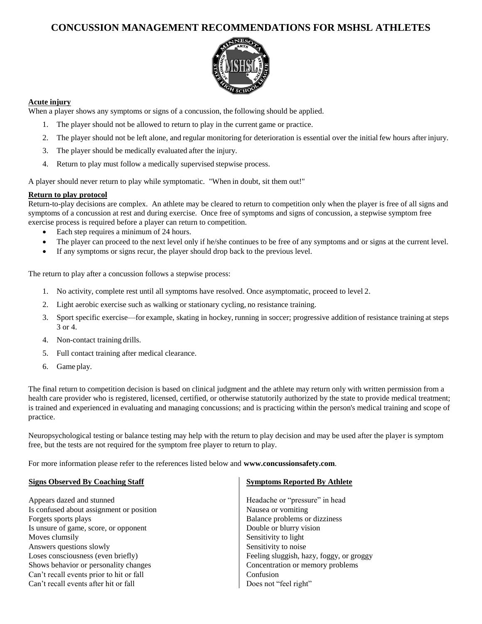# **CONCUSSION MANAGEMENT RECOMMENDATIONS FOR MSHSL ATHLETES**



# **Acute injury**

When a player shows any symptoms or signs of a concussion, the following should be applied.

- 1. The player should not be allowed to return to play in the current game or practice.
- 2. The player should not be left alone, and regular monitoring for deterioration is essential over the initial few hours after injury.
- 3. The player should be medically evaluated after the injury.
- 4. Return to play must follow a medically supervised stepwise process.

A player should never return to play while symptomatic. "When in doubt, sit them out!"

# **Return to play protocol**

Return-to-play decisions are complex. An athlete may be cleared to return to competition only when the player is free of all signs and symptoms of a concussion at rest and during exercise. Once free of symptoms and signs of concussion, a stepwise symptom free exercise process is required before a player can return to competition.

- Each step requires a minimum of 24 hours.
- The player can proceed to the next level only if he/she continues to be free of any symptoms and or signs at the current level.
- If any symptoms or signs recur, the player should drop back to the previous level.

The return to play after a concussion follows a stepwise process:

- 1. No activity, complete rest until all symptoms have resolved. Once asymptomatic, proceed to level 2.
- 2. Light aerobic exercise such as walking or stationary cycling, no resistance training.
- 3. Sport specific exercise—for example, skating in hockey, running in soccer; progressive addition of resistance training at steps 3 or 4.
- 4. Non-contact training drills.
- 5. Full contact training after medical clearance.
- 6. Game play.

The final return to competition decision is based on clinical judgment and the athlete may return only with written permission from a health care provider who is registered, licensed, certified, or otherwise statutorily authorized by the state to provide medical treatment; is trained and experienced in evaluating and managing concussions; and is practicing within the person's medical training and scope of practice.

Neuropsychological testing or balance testing may help with the return to play decision and may be used after the player is symptom free, but the tests are not required for the symptom free player to return to play.

For more information please refer to the references listed below and **www.concussionsafety.com**.

#### **Signs Observed By Coaching Staff**

Appears dazed and stunned Is confused about assignment or position Forgets sports plays Is unsure of game, score, or opponent Moves clumsily Answers questions slowly Loses consciousness (even briefly) Shows behavior or personality changes Can't recall events prior to hit or fall Can't recall events after hit or fall

#### **Symptoms Reported By Athlete**

Headache or "pressure" in head Nausea or vomiting Balance problems or dizziness Double or blurry vision Sensitivity to light Sensitivity to noise Feeling sluggish, hazy, foggy, or groggy Concentration or memory problems Confusion Does not "feel right"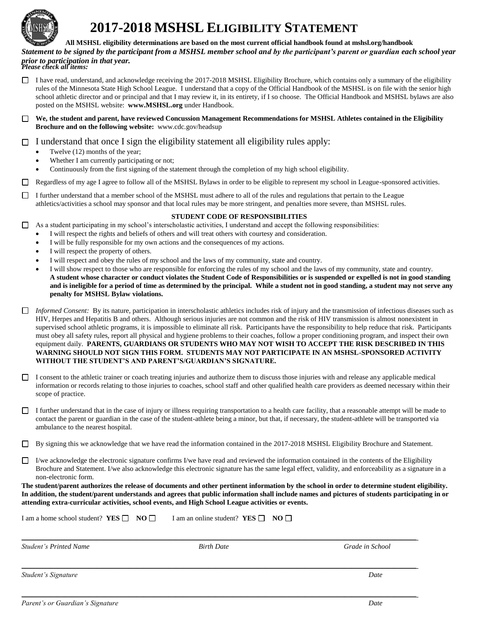

# **2017-2018 MSHSL ELIGIBILITY STATEMENT**

**All MSHSL eligibility determinations are based on the most current official handbook found at mshsl.org/handbook**

*Statement to be signed by the participant from a MSHSL member school and by the participant's parent or guardian each school year prior to participation in that year. Please check all items:*

 $\Box$  I have read, understand, and acknowledge receiving the 2017-2018 MSHSL Eligibility Brochure, which contains only a summary of the eligibility rules of the Minnesota State High School League. I understand that a copy of the Official Handbook of the MSHSL is on file with the senior high school athletic director and or principal and that I may review it, in its entirety, if I so choose. The Official Handbook and MSHSL bylaws are also posted on the MSHSL website: **www.MSHSL.org** under Handbook.

**We, the student and parent, have reviewed Concussion Management Recommendations for MSHSL Athletes contained in the Eligibility Brochure and on the following website:** www.cdc.gov/headsup

# $\Box$  I understand that once I sign the eligibility statement all eligibility rules apply:

- Twelve (12) months of the year;
- Whether I am currently participating or not;
- Continuously from the first signing of the statement through the completion of my high school eligibility.

Regardless of my age I agree to follow all of the MSHSL Bylaws in order to be eligible to represent my school in League-sponsored activities.

I further understand that a member school of the MSHSL must adhere to all of the rules and regulations that pertain to the League athletics/activities a school may sponsor and that local rules may be more stringent, and penalties more severe, than MSHSL rules.

#### **STUDENT CODE OF RESPONSIBILITIES**

- $\Box$  As a student participating in my school's interscholastic activities, I understand and accept the following responsibilities:
	- I will respect the rights and beliefs of others and will treat others with courtesy and consideration.
	- I will be fully responsible for my own actions and the consequences of my actions.
	- I will respect the property of others.
	- I will respect and obey the rules of my school and the laws of my community, state and country.
	- I will show respect to those who are responsible for enforcing the rules of my school and the laws of my community, state and country. **A student whose character or conduct violates the Student Code of Responsibilities or is suspended or expelled is not in good standing and is ineligible for a period of time as determined by the principal. While a student not in good standing, a student may not serve any penalty for MSHSL Bylaw violations.**
- *Informed Consent:* By its nature, participation in interscholastic athletics includes risk of injury and the transmission of infectious diseases such as HIV, Herpes and Hepatitis B and others. Although serious injuries are not common and the risk of HIV transmission is almost nonexistent in supervised school athletic programs, it is impossible to eliminate all risk. Participants have the responsibility to help reduce that risk. Participants must obey all safety rules, report all physical and hygiene problems to their coaches, follow a proper conditioning program, and inspect their own equipment daily. **PARENTS, GUARDIANS OR STUDENTS WHO MAY NOT WISH TO ACCEPT THE RISK DESCRIBED IN THIS WARNING SHOULD NOT SIGN THIS FORM. STUDENTS MAY NOT PARTICIPATE IN AN MSHSL-SPONSORED ACTIVITY WITHOUT THE STUDENT'S AND PARENT'S/GUARDIAN'S SIGNATURE.**
- I consent to the athletic trainer or coach treating injuries and authorize them to discuss those injuries with and release any applicable medical information or records relating to those injuries to coaches, school staff and other qualified health care providers as deemed necessary within their scope of practice.
- I further understand that in the case of injury or illness requiring transportation to a health care facility, that a reasonable attempt will be made to contact the parent or guardian in the case of the student-athlete being a minor, but that, if necessary, the student-athlete will be transported via ambulance to the nearest hospital.
- By signing this we acknowledge that we have read the information contained in the 2017-2018 MSHSL Eligibility Brochure and Statement.
- $\Box$  I/we acknowledge the electronic signature confirms I/we have read and reviewed the information contained in the contents of the Eligibility Brochure and Statement. I/we also acknowledge this electronic signature has the same legal effect, validity, and enforceability as a signature in a non-electronic form.

**The student/parent authorizes the release of documents and other pertinent information by the school in order to determine student eligibility. In addition, the student/parent understands and agrees that public information shall include names and pictures of students participating in or attending extra-curricular activities, school events, and High School League activities or events.**

| I am a home school student? $YES \Box NO \Box$ | I am an online student? YES $\Box$ NO $\Box$ |                 |
|------------------------------------------------|----------------------------------------------|-----------------|
| <b>Student's Printed Name</b>                  | <b>Birth Date</b>                            | Grade in School |
| Student's Signature                            |                                              | Date            |

 $\_$  , and the set of the set of the set of the set of the set of the set of the set of the set of the set of the set of the set of the set of the set of the set of the set of the set of the set of the set of the set of th